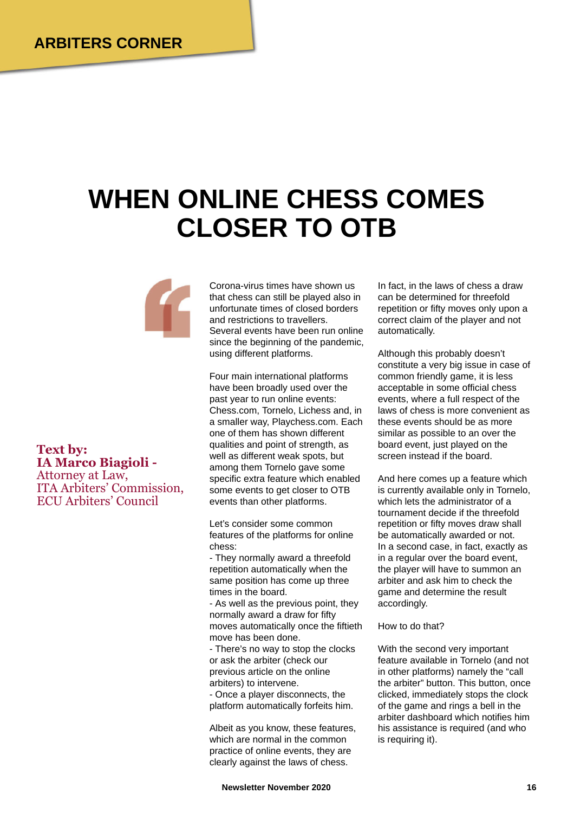## **WHEN ONLINE CHESS COMES CLOSER TO OTB**



**Text by: IA Marco Biagioli -** Attorney at Law, ITA Arbiters' Commission, ECU Arbiters' Council

Corona-virus times have shown us that chess can still be played also in unfortunate times of closed borders and restrictions to travellers. Several events have been run online since the beginning of the pandemic, using different platforms.

Four main international platforms have been broadly used over the past year to run online events: Chess.com, Tornelo, Lichess and, in a smaller way, Playchess.com. Each one of them has shown different qualities and point of strength, as well as different weak spots, but among them Tornelo gave some specific extra feature which enabled some events to get closer to OTB events than other platforms.

Let's consider some common features of the platforms for online chess:

- They normally award a threefold repetition automatically when the same position has come up three times in the board.

- As well as the previous point, they normally award a draw for fifty moves automatically once the fiftieth move has been done.

- There's no way to stop the clocks or ask the arbiter (check our previous article on the online arbiters) to intervene.

- Once a player disconnects, the platform automatically forfeits him.

Albeit as you know, these features, which are normal in the common practice of online events, they are clearly against the laws of chess.

In fact, in the laws of chess a draw can be determined for threefold repetition or fifty moves only upon a correct claim of the player and not automatically.

Although this probably doesn't constitute a very big issue in case of common friendly game, it is less acceptable in some official chess events, where a full respect of the laws of chess is more convenient as these events should be as more similar as possible to an over the board event, just played on the screen instead if the board.

And here comes up a feature which is currently available only in Tornelo, which lets the administrator of a tournament decide if the threefold repetition or fifty moves draw shall be automatically awarded or not. In a second case, in fact, exactly as in a regular over the board event, the player will have to summon an arbiter and ask him to check the game and determine the result accordingly.

How to do that?

With the second very important feature available in Tornelo (and not in other platforms) namely the "call the arbiter" button. This button, once clicked, immediately stops the clock of the game and rings a bell in the arbiter dashboard which notifies him his assistance is required (and who is requiring it).